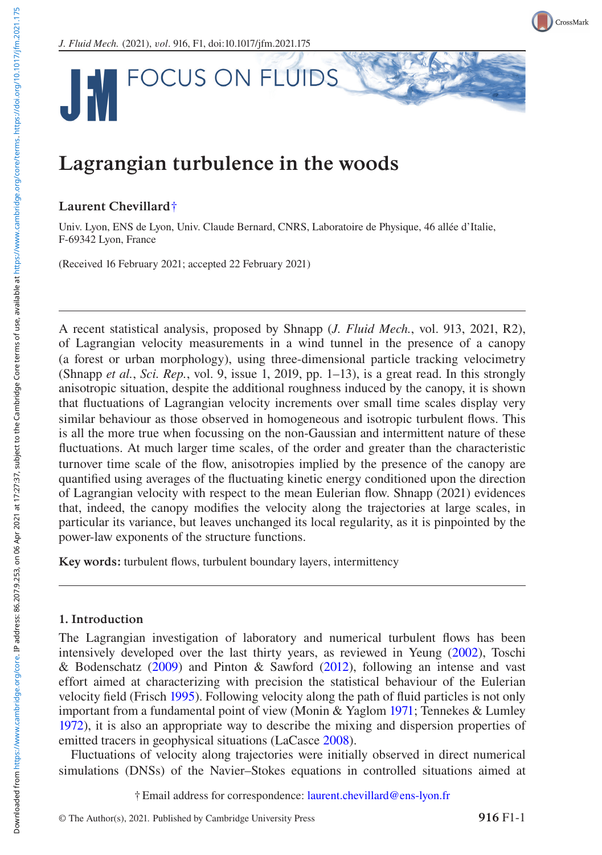CrossMark

*J. Fluid Mech.* (2021), v*ol*. 916, F1, doi:10.1017/jfm.2021.175



# Lagrangian turbulence in the woods

## Laurent Chevillard†

Univ. Lyon, ENS de Lyon, Univ. Claude Bernard, CNRS, Laboratoire de Physique, 46 allée d'Italie, F-69342 Lyon, France

(Received 16 February 2021; accepted 22 February 2021)

A recent statistical analysis, proposed by Shnapp (*J. Fluid Mech.*, vol. 913, 2021, R2), of Lagrangian velocity measurements in a wind tunnel in the presence of a canopy (a forest or urban morphology), using three-dimensional particle tracking velocimetry (Shnapp *et al.*, *Sci. Rep.*, vol. 9, issue 1, 2019, pp. 1–13), is a great read. In this strongly anisotropic situation, despite the additional roughness induced by the canopy, it is shown that fluctuations of Lagrangian velocity increments over small time scales display very similar behaviour as those observed in homogeneous and isotropic turbulent flows. This is all the more true when focussing on the non-Gaussian and intermittent nature of these fluctuations. At much larger time scales, of the order and greater than the characteristic turnover time scale of the flow, anisotropies implied by the presence of the canopy are quantified using averages of the fluctuating kinetic energy conditioned upon the direction of Lagrangian velocity with respect to the mean Eulerian flow. Shnapp (2021) evidences that, indeed, the canopy modifies the velocity along the trajectories at large scales, in particular its variance, but leaves unchanged its local regularity, as it is pinpointed by the power-law exponents of the structure functions.

Key words: turbu[lent](#page-3-0) [flo](#page-3-0)ws, turbulent boundary laye[rs,](#page-3-1) [inte](#page-3-1)rmittency

### [1.](#page-3-2) [Int](#page-3-2)roduction

The Lagrangian investigation of laboratory an[d](#page-3-3) [num](#page-3-3)erical turbulent flows has been intensively developed over the last thirty years, as reviewed in Yeung (2002), Toschi & Bodenschatz (2009) and Pinton & Sawford (2012), following an intense and vast effort aimed at characterizing with precision [the statistical](mailto:laurent.chevillard@ens-lyon.fr) behaviour of the Eulerian velocity field (Frisch 1995). Following velocity along the path of fluid particles is not only important from a fundamental point of view (Monin & Yaglom 1971; Tennekes & Lumley 1972), it is also an appropriate way to describe the mixing and dispersion properties of emitted tracers in geophysical situations (LaCasce 2008).

Fl[uctuations of velocity](https://www.cambridge.org/core) along trajectories were initially observed in direct numerical simulations (DNSs) of the Navier–Stokes equations in controlled situations aimed at

† Email address for correspondence: laurent.chevillard@ens-lyon.fr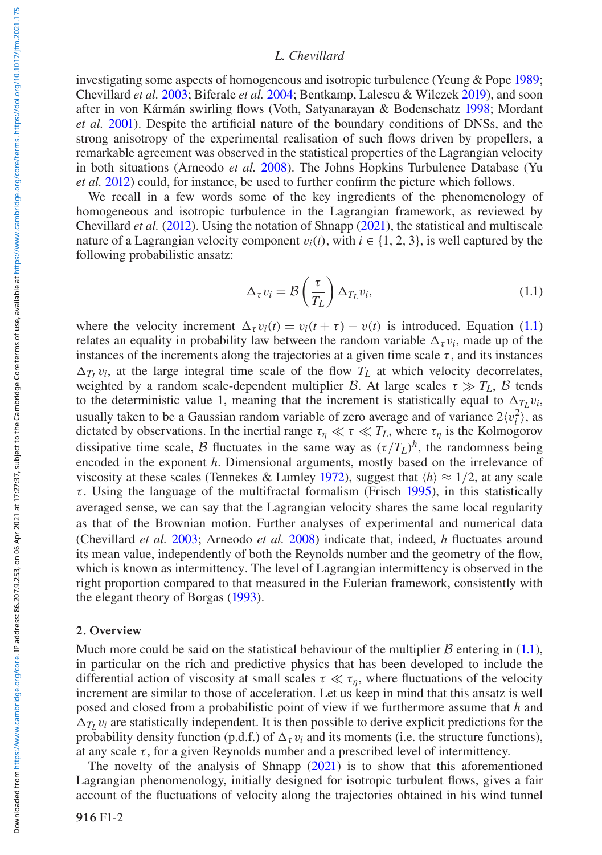## <span id="page-1-0"></span>*[L.](#page-2-0) Chevillard*

inves[tigatin](#page-3-4)g some aspects of homogeneous and isotropic turbulence (Yeung & Pope 1989; Chevillard *et al.* 2003; Biferale *et al.* 2004; Bentkamp, Lalescu & Wilczek 2019), and soon after in von Kár[mán s](#page-2-1)wirling flows (Voth, Satyanara[yan &](#page-3-5) Bodenschatz 1998; Mordant *et al.* 2001). Despite the artificial nature of the boundary conditions of DNSs, and the strong anisotropy of the experimental realisation of such flows driven by propellers, a remarkable agreement was observed in the statistical properties of the Lagrangian velocity in both situations (Arneodo *et al.* 2008). The Johns Hopkins Turbulence Database (Yu *et al.* 2012) could, for instance, be used to further confirm the picture which follows.

We recall in a few words some of the key ingredients of the phenomenology of homogeneous and isotropic turbulence in the Lagrangian framework, as reviewe[d by](#page-1-0) Chevillard *et al.* (2012). Using the notation of Shnapp (2021), the statistical and multiscale nature of a Lagrangian velocity component  $v_i(t)$ , with  $i \in \{1, 2, 3\}$ , is well captured by the following probabilistic ansatz:

$$
\Delta_{\tau} v_i = \mathcal{B}\left(\frac{\tau}{T_L}\right) \Delta_{T_L} v_i, \tag{1.1}
$$

where the velocity increment  $\Delta_{\tau} v_i(t) = v_i(t + \tau) - v(t)$  is introduced. Equation (1.1) relates an equality in probability law between the random variable  $\Delta_{\tau} v_i$ , made up of the instances of the increments along the trajectories at a given time scale  $\tau$ , and its instances  $\Delta_{T_L} v_i$  $\Delta_{T_L} v_i$  $\Delta_{T_L} v_i$ , at the large integral time scale of the [flow](#page-3-2)  $T_L$  at which velocity decorrelates, w[e](#page-3-6)ighted by a random [scal](#page-3-6)e-dependent multiplier *B*. At large scales  $\tau \gg T_L$ , *B* tends to the deterministic value 1, meaning that the increment is statistically equal to  $\Delta_{T_L} v_i$ , usually taken to be a Gaussian random variable of zero average and of variance  $2\langle v_i^2 \rangle$ , as dictated by obser[vations](#page-3-7). In the inertial [range](#page-2-0)  $\tau_{\eta} \ll \tau \ll T_L$ , where  $\tau_{\eta}$  is the Kolmogorov dissipative time scale, *B* fluctuates in the same way as  $(\tau/T_L)^h$ , the randomness being encoded in the exponent *h*. Dimensional arguments, mostly based on the irrelevance of viscosity at these scales (Tennekes & Lumley 1972), suggest that  $\langle h \rangle \approx 1/2$ , at any scale  $\tau$ . Using the language of the [mul](#page-2-2)tifractal formalism (Frisch 1995), in this statistically averaged sense, we can say that the Lagrangian velocity shares the same local regularity as that of the Brownian motion. Further analyses of experimental and numerical data (Chevillard *et al.* 2003; Arneodo *et al.* 2008) indicate that, indeed, *h* fluctuates ar[ound](#page-1-0) its mean value, independently of both the Reynolds number and the geometry of the flow, which is known as intermittency. The level of Lagrangian intermittency is observed in the right proportion compared to that measured in the Eulerian framework, consistently with the elegant theory of Borgas (1993).

#### 2. Overview

Much more could be said on the statistical b[ehavio](#page-3-5)ur of the multiplier  $\beta$  entering in (1.1), in particular on the rich and predictive physics that has been developed to include the differential action of viscosity at small scales  $\tau \ll \tau_{\eta}$ , where fluctuations of the velocity increment are similar to those of acceleration. Let us keep in mind that this ansatz is well posed and closed from a probabilistic point of view if we furthermore assume that *h* and  $\Delta_{T_L} v_i$  are statistically independent. It is then possible to derive explicit predictions for the probability density function (p.d.f.) of  $\Delta_{\tau} v_i$  and its moments (i.e. the structure functions), at any scale  $\tau$ , for a given Reynolds number and a prescribed level of intermittency.

[The](https://www.cambridge.org/core) [novelty](https://www.cambridge.org/core) [of](https://www.cambridge.org/core) [the](https://www.cambridge.org/core) [a](https://www.cambridge.org/core)nalysis of Shnapp (2021) is to show that this aforementioned Lagrangian phenomenology, initially designed for isotropic turbulent flows, gives a fair account of the fluctuations of velocity along the trajectories obtained in his wind tunnel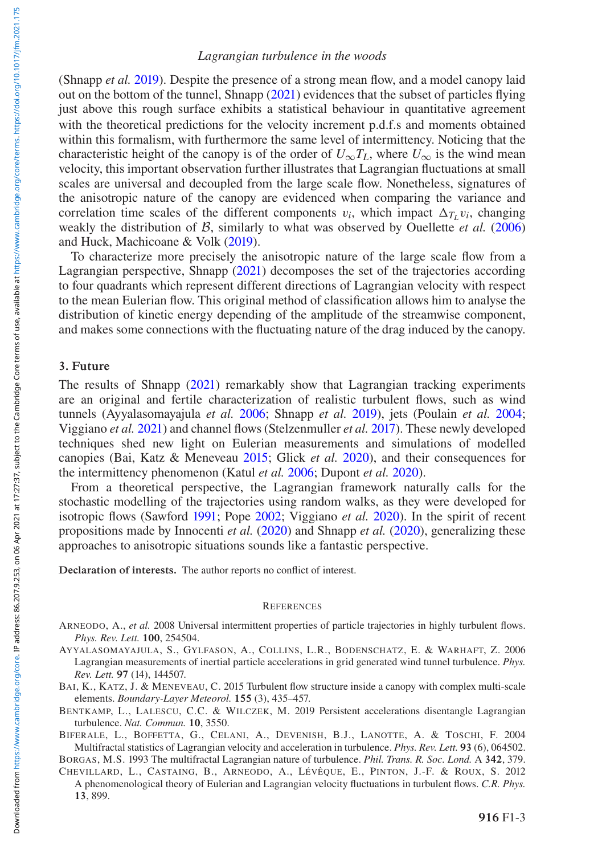## *Lagrangian turbulence in the woods*

(Shnapp *et al.* 2019). Despite the presence of a strong mean flow, and a model canopy laid out on the bottom of the tunnel, Shnapp (2021) evidences that the subset of particles flying just above this rough surface exhibits a statistical behaviour in quantitative agre[ement](#page-3-8) with the theoretical predictions [for th](#page-3-9)e velocity increment p.d.f.s and moments obtained within this formalism, with furthermore the same level of intermittency. Noticing that the characteristic height of the canop[y is of](#page-3-5) the order of  $U_{\infty}T_L$ , where  $U_{\infty}$  is the wind mean velocity, this important observation further illustrates that Lagrangian fluctuations at small scales are universal and decoupled from the large scale flow. Nonetheless, signatures of the anisotropic nature of the canopy are evidenced when comparing the variance and correlation time scales of the different components  $v_i$ , which impact  $\Delta_{T_L} v_i$ , changing weakly the distribution of *B*, similarly to what was observed by Ouellette *et al.* (2006) and Huck, Machicoane & Volk (2019).

To characterize more precisely the anisotropic nature of the large scale flow from a Lagrangian perspective, [Shnap](#page-3-5)p (2021) decomposes the set of the trajectories according to four quadrants which represent different directions of Lagrangian velocity with respect to the mean Eulerian flow. This or[iginal](#page-2-3) method of class[ificati](#page-3-10)on allows him to anal[yse the](#page-3-11) distribution of [kinet](#page-3-12)ic energy depending of the amplitude [of the](#page-3-13) streamwise component, and makes some connections with the fluctuating nature of the drag induced by the canopy.

## 3. Future

The results of Shnapp (2021) remarkably show that Lagrangian tracking experiments are an original and fert[ile ch](#page-3-14)aracte[rizatio](#page-3-15)n of realistic t[urbulen](#page-3-16)t flows, such as wind tunnels (Ayyalasomayajula *et al.* 200[6; Sh](#page-3-17)napp *et al.* 2019), [jets \(P](#page-3-18)oulain *et al.* 2004; Viggiano *et al.* 2021) and channel flows (Stelzenmuller *et al.* 2017). These newly developed techniques shed new light on Eulerian measurements and simulations of modelled canopies (Bai, Katz & Meneveau 2015; Glick *et al.* 2020), and their consequences for the intermittency phenomenon (Katul *et al.* 2006; Dupont *et al.* 2020).

<span id="page-2-0"></span>From a theoretical perspective, the Lagrangian framework naturally calls for the stochastic modelling of the trajectories using random walks, as they were developed for isotropic flows (Sawford 1991; Pope 2002; Viggiano *et al.* 2020). In the spirit of recent propositions made by Innocenti *et al.* (2020) and Shnapp *et al.* (2020), generalizing these approaches to anisotropic situations sounds like a fantastic perspective.

<span id="page-2-3"></span>Declaration of interests. The author reports no conflict of interest.

#### **REFERENCES**

- ARNEODO, A., *et al.* 2008 Universal intermittent properties of particle trajectories in highly turbulent flows. *Phys. Rev. Lett.* 100, 254504.
- <span id="page-2-2"></span><span id="page-2-1"></span>AYYALASOMAYAJULA, S., GYLFASON, A., COLLINS, L.R., BODENSCHATZ, E. & WARHAFT, Z. 2006 Lagrangian measurements of inertial particle accelerations in grid generated wind tunnel turbulence. *Phys. Rev. Lett.* 97 (14), 144507.
- BAI, K., KATZ, J. & MENEVEAU, C. 2015 Turbulent flow structure inside a canopy with complex multi-scale elements. *Boundary-Layer Meteorol.* 155 (3), 435–457.
- BENTKAMP, L., LALESCU, C.C. & WILCZEK, M. 2019 Persistent accelerations disentangle Lagrangian turbulence. *Nat. Commun.* 10, 3550.

BIFERALE, L., BOFFETTA, G., CELANI, A., DEVENISH, B.J., LANOTTE, A. & TOSCHI, F. 2004 Multifractal statistics of Lagrangian velocity and acceleration in turbulence. *Phys. Rev. Lett.* 93 (6), 064502. BORG[AS, M.S. 1993 The multifr](https://www.cambridge.org/core)actal Lagrangian nature of turbulence. *Phil. Trans. R. Soc. Lond.* A 342, 379.

CHEVILLARD, L., CASTAING, B., ARNEODO, A., LÉVÊQUE, E., PINTON, J.-F. & ROUX, S. 2012 A phenomenological theory of Eulerian and Lagrangian velocity fluctuations in turbulent flows. *C.R. Phys.* 13, 899.